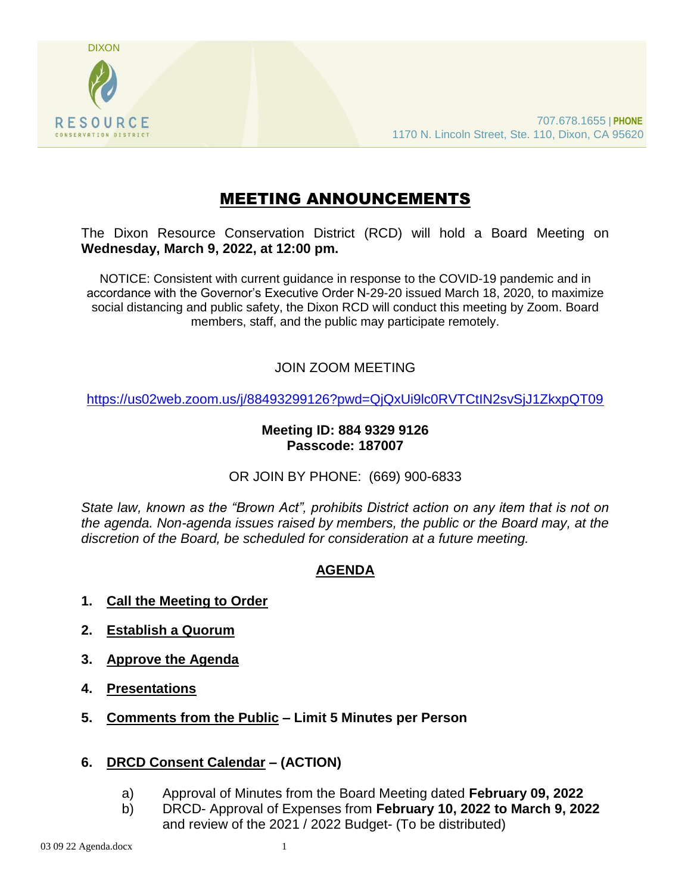

# MEETING ANNOUNCEMENTS

The Dixon Resource Conservation District (RCD) will hold a Board Meeting on **Wednesday, March 9, 2022, at 12:00 pm.** 

NOTICE: Consistent with current guidance in response to the COVID-19 pandemic and in accordance with the Governor's Executive Order N-29-20 issued March 18, 2020, to maximize social distancing and public safety, the Dixon RCD will conduct this meeting by Zoom. Board members, staff, and the public may participate remotely.

# JOIN ZOOM MEETING

<https://us02web.zoom.us/j/88493299126?pwd=QjQxUi9lc0RVTCtIN2svSjJ1ZkxpQT09>

#### **Meeting ID: 884 9329 9126 Passcode: 187007**

OR JOIN BY PHONE: (669) 900-6833

*State law, known as the "Brown Act", prohibits District action on any item that is not on the agenda. Non-agenda issues raised by members, the public or the Board may, at the discretion of the Board, be scheduled for consideration at a future meeting.*

# **AGENDA**

- **1. Call the Meeting to Order**
- **2. Establish a Quorum**
- **3. Approve the Agenda**
- **4. Presentations**
- **5. Comments from the Public – Limit 5 Minutes per Person**

# **6. DRCD Consent Calendar – (ACTION)**

- a) Approval of Minutes from the Board Meeting dated **February 09, 2022**
- b) DRCD- Approval of Expenses from **February 10, 2022 to March 9, 2022** and review of the 2021 / 2022 Budget- (To be distributed)